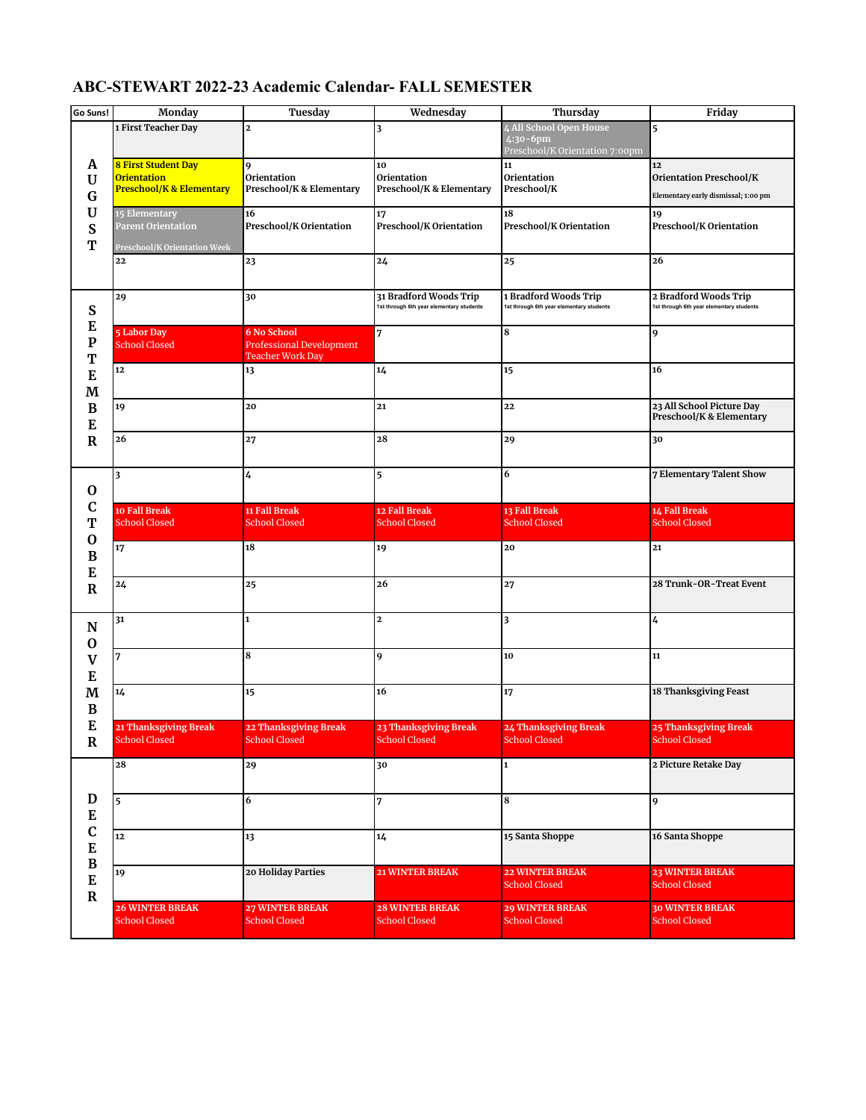## **ABC-STEWART 2022-23 Academic Calendar- FALL SEMESTER**

| Go Suns!                                                                                 | Monday                                                                           | Tuesday                                                                   | Wednesday                                                          | Thursday                                                                 | Friday                                                                      |
|------------------------------------------------------------------------------------------|----------------------------------------------------------------------------------|---------------------------------------------------------------------------|--------------------------------------------------------------------|--------------------------------------------------------------------------|-----------------------------------------------------------------------------|
|                                                                                          | 1 First Teacher Day                                                              | $\overline{a}$                                                            | $\overline{\mathbf{3}}$                                            | 4 All School Open House<br>$4:30-6$ pm<br>Preschool/K Orientation 7:00pm | 5                                                                           |
| A<br>U<br>G<br>$\mathbf U$<br>S<br>T                                                     | 8 First Student Day<br><b>Orientation</b><br><b>Preschool/K &amp; Elementary</b> | 9<br>Orientation<br>Preschool/K & Elementary                              | 10<br>Orientation<br>Preschool/K & Elementary                      | 11<br>Orientation<br>Preschool/K                                         | 12<br><b>Orientation Preschool/K</b><br>Elementary early dismissal; 1:00 pm |
|                                                                                          | 15 Elementary<br>Parent Orientation<br>Preschool/K Orientation Week              | 16<br>Preschool/K Orientation                                             | 17<br>Preschool/K Orientation                                      | 18<br>Preschool/K Orientation                                            | 19<br>Preschool/K Orientation                                               |
|                                                                                          | 22                                                                               | 23                                                                        | 24                                                                 | 25                                                                       | 26                                                                          |
| S                                                                                        | 29                                                                               | 30                                                                        | 31 Bradford Woods Trip<br>1st through 6th year elementary students | 1 Bradford Woods Trip<br>1st through 6th year elementary students        | 2 Bradford Woods Trip<br>1st through 6th year elementary students           |
| E<br>${\bf p}$<br>T<br>E<br>$\mathbf{M}% _{0}$<br>$\, {\bf B}$<br>${\bf E}$              | <b>5 Labor Day</b><br><b>School Closed</b>                                       | 6 No School<br><b>Professional Development</b><br><b>Teacher Work Day</b> | 7                                                                  | 8                                                                        | 9                                                                           |
|                                                                                          | 12                                                                               | 13                                                                        | 14                                                                 | 15                                                                       | 16                                                                          |
|                                                                                          | 19                                                                               | 20                                                                        | 21                                                                 | 22                                                                       | 23 All School Picture Day<br>Preschool/K & Elementary                       |
| $\bf{R}$                                                                                 | 26                                                                               | 27                                                                        | 28                                                                 | 29                                                                       | 30                                                                          |
| O                                                                                        | $\overline{\mathbf{3}}$                                                          | 4                                                                         | 5                                                                  | 6                                                                        | 7 Elementary Talent Show                                                    |
| C<br>T<br>$\bf{0}$<br>$\bf{B}$<br>E<br>$\mathbf R$                                       | 10 Fall Break<br><b>School Closed</b>                                            | 11 Fall Break<br><b>School Closed</b>                                     | 12 Fall Break<br><b>School Closed</b>                              | 13 Fall Break<br><b>School Closed</b>                                    | 14 Fall Break<br><b>School Closed</b>                                       |
|                                                                                          | 17                                                                               | 18                                                                        | 19                                                                 | 20                                                                       | 21                                                                          |
|                                                                                          | 24                                                                               | 25                                                                        | 26                                                                 | 27                                                                       | 28 Trunk-OR-Treat Event                                                     |
| N<br>$\mathbf 0$                                                                         | 31                                                                               | 1                                                                         | $\mathbf{2}$                                                       | 3                                                                        | 4                                                                           |
| $\mathbf V$<br>E<br>M<br>$\bf{B}$<br>E<br>R                                              | 7                                                                                | 8                                                                         | 9                                                                  | 10                                                                       | 11                                                                          |
|                                                                                          | 14                                                                               | 15                                                                        | 16                                                                 | 17                                                                       | 18 Thanksgiving Feast                                                       |
|                                                                                          | 21 Thanksgiving Break<br>School Closed                                           | 22 Thanksgiving Break<br>School Closed                                    | 23 Thanksgiving Break<br>School Closed                             | 24 Thanksgiving Break<br>School Closed                                   | 25 Thanksgiving Break<br>School Closed                                      |
| $\mathbf D$<br>${\bf E}$<br>$\mathbf C$<br>E<br>$\, {\bf B}$<br>${\bf E}$<br>$\mathbf R$ | 28                                                                               | 29                                                                        | 30                                                                 | $\mathbf{1}$                                                             | 2 Picture Retake Day                                                        |
|                                                                                          | $\overline{5}$                                                                   | 6                                                                         | 7                                                                  | 8                                                                        | 9                                                                           |
|                                                                                          | 12                                                                               | 13                                                                        | 14                                                                 | 15 Santa Shoppe                                                          | 16 Santa Shoppe                                                             |
|                                                                                          | 19                                                                               | 20 Holiday Parties                                                        | 21 WINTER BREAK                                                    | <b>22 WINTER BREAK</b><br><b>School Closed</b>                           | <b>23 WINTER BREAK</b><br><b>School Closed</b>                              |
|                                                                                          | <b>26 WINTER BREAK</b><br><b>School Closed</b>                                   | <b>27 WINTER BREAK</b><br><b>School Closed</b>                            | <b>28 WINTER BREAK</b><br><b>School Closed</b>                     | <b>29 WINTER BREAK</b><br><b>School Closed</b>                           | <b>30 WINTER BREAK</b><br><b>School Closed</b>                              |